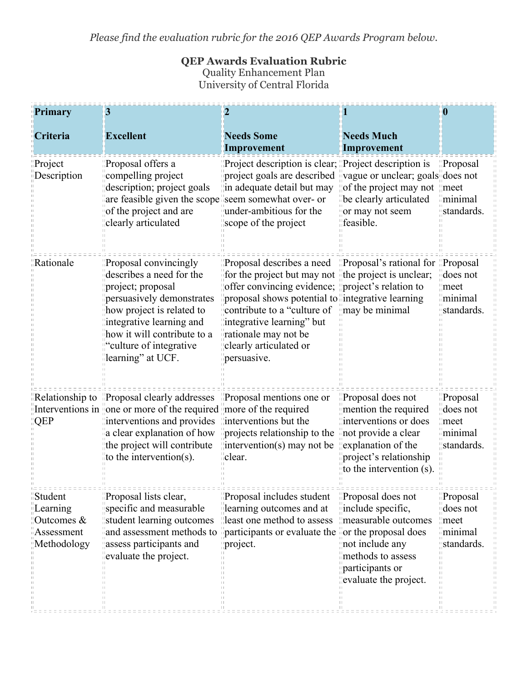*Please find the evaluation rubric for the 2016 QEP Awards Program below.*

## **QEP Awards Evaluation Rubric** Quality Enhancement Plan University of Central Florida

| Primary                                                        | 3                                                                                                                                                                                                                                                                                                                                                   | $\mathbf{2}$                                                                                                                                                                                                                                                                                                                                                                     |                                                                                                                                                                        | 0                                                                                                            |
|----------------------------------------------------------------|-----------------------------------------------------------------------------------------------------------------------------------------------------------------------------------------------------------------------------------------------------------------------------------------------------------------------------------------------------|----------------------------------------------------------------------------------------------------------------------------------------------------------------------------------------------------------------------------------------------------------------------------------------------------------------------------------------------------------------------------------|------------------------------------------------------------------------------------------------------------------------------------------------------------------------|--------------------------------------------------------------------------------------------------------------|
| <b>Criteria</b>                                                | <b>Excellent</b>                                                                                                                                                                                                                                                                                                                                    | <b>Needs Some</b><br>Improvement                                                                                                                                                                                                                                                                                                                                                 | <b>Needs Much</b><br>Improvement                                                                                                                                       |                                                                                                              |
| Project<br>Description                                         | Proposal offers a<br>compelling project<br>description; project goals<br>are feasible given the scope seem somewhat over- or<br>of the project and are<br>clearly articulated                                                                                                                                                                       | "Project description is clear; "Project description is<br>project goals are described wague or unclear; goals does not<br>in adequate detail but may<br>under-ambitious for the<br>scope of the project                                                                                                                                                                          | $\parallel$ of the project may not $\parallel$ meet<br>be clearly articulated<br>or may not seem<br>feasible.                                                          | Proposal<br>minimal<br>standards.                                                                            |
| Rationale                                                      | Proposal convincingly<br>describes a need for the<br>project; proposal<br>persuasively demonstrates<br>how project is related to<br>integrative learning and<br>how it will contribute to a<br>'culture of integrative<br>learning" at UCF.                                                                                                         | "Proposal describes a need "Proposal's rational for "Proposal"<br>$\frac{1}{2}$ for the project but may not the project is unclear;<br>offer convincing evidence; <i>project</i> 's relation to<br>proposal shows potential to integrative learning<br>contribute to a "culture of<br>integrative learning" but<br>rationale may not be<br>clearly articulated or<br>persuasive. | may be minimal                                                                                                                                                         | does not<br>meet<br>minimal<br>standards.                                                                    |
| QEP                                                            | Relationship to "Proposal clearly addresses "Proposal mentions one or<br>Interventions in yone or more of the required year of the required<br>interventions and provides linterventions but the<br>$\alpha$ a clear explanation of how $\beta$ projects relationship to the<br>the project will contribute<br>$\mathbf{u}$ to the intervention(s). | $\parallel$ intervention(s) may not be<br>lclear.                                                                                                                                                                                                                                                                                                                                | Proposal does not<br>mention the required<br>interventions or does<br>inot provide a clear<br>explanation of the<br>project's relationship<br>to the intervention (s). | Proposal<br>does not<br>$\Box$ meet<br>iminimal<br>standards.                                                |
| Student<br>Learning<br>Outcomes &<br>Assessment<br>Methodology | Proposal lists clear,<br>specific and measurable<br>student learning outcomes<br>assess participants and<br>evaluate the project.                                                                                                                                                                                                                   | Proposal includes student<br>learning outcomes and at<br>least one method to assess<br>and assessment methods to <i>participants</i> or evaluate the <i>for the proposal does</i><br>project.                                                                                                                                                                                    | Proposal does not<br>include specific,<br>measurable outcomes<br>not include any<br>methods to assess<br>participants or<br>evaluate the project.<br>$\Box$            | Proposal<br>does not<br>meet<br>minimal<br>standards.<br>$\mathbb{H}$<br>$\left\vert \cdot \right\vert$<br>П |